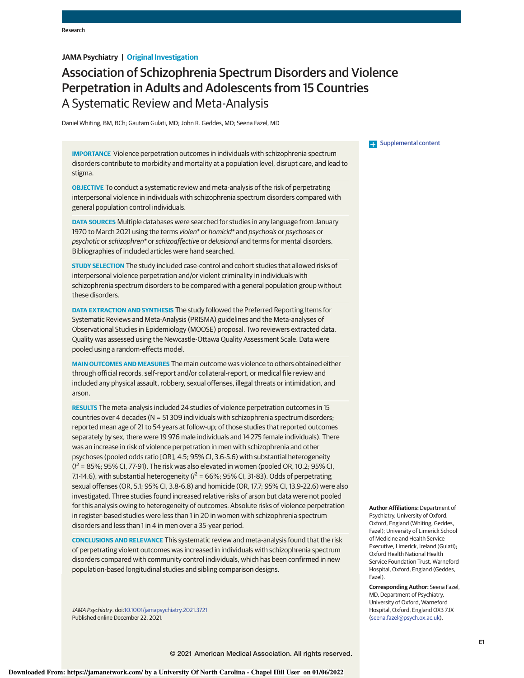## **JAMA Psychiatry | Original Investigation**

# Association of Schizophrenia Spectrum Disorders and Violence Perpetration in Adults and Adolescents from 15 Countries A Systematic Review and Meta-Analysis

Daniel Whiting, BM, BCh; Gautam Gulati, MD; John R. Geddes, MD; Seena Fazel, MD

**IMPORTANCE** Violence perpetration outcomes in individuals with schizophrenia spectrum disorders contribute to morbidity and mortality at a population level, disrupt care, and lead to stigma.

**OBJECTIVE** To conduct a systematic review and meta-analysis of the risk of perpetrating interpersonal violence in individuals with schizophrenia spectrum disorders compared with general population control individuals.

**DATA SOURCES** Multiple databases were searched for studies in any language from January 1970 to March 2021 using the terms violen\* or homicid\* and psychosis or psychoses or psychotic or schizophren\* or schizoaffective or delusional and terms for mental disorders. Bibliographies of included articles were hand searched.

**STUDY SELECTION** The study included case-control and cohort studies that allowed risks of interpersonal violence perpetration and/or violent criminality in individuals with schizophrenia spectrum disorders to be compared with a general population group without these disorders.

**DATA EXTRACTION AND SYNTHESIS** The study followed the Preferred Reporting Items for Systematic Reviews and Meta-Analysis (PRISMA) guidelines and the Meta-analyses of Observational Studies in Epidemiology (MOOSE) proposal. Two reviewers extracted data. Quality was assessed using the Newcastle-Ottawa Quality Assessment Scale. Data were pooled using a random-effects model.

**MAIN OUTCOMES AND MEASURES** The main outcome was violence to others obtained either through official records, self-report and/or collateral-report, or medical file review and included any physical assault, robbery, sexual offenses, illegal threats or intimidation, and arson.

**RESULTS** The meta-analysis included 24 studies of violence perpetration outcomes in 15 countries over 4 decades (N = 51 309 individuals with schizophrenia spectrum disorders; reported mean age of 21 to 54 years at follow-up; of those studies that reported outcomes separately by sex, there were 19 976 male individuals and 14 275 female individuals). There was an increase in risk of violence perpetration in men with schizophrenia and other psychoses (pooled odds ratio [OR], 4.5; 95% CI, 3.6-5.6) with substantial heterogeneity  $(I^2 = 85\%; 95\%$  Cl, 77-91). The risk was also elevated in women (pooled OR, 10.2; 95% Cl, 7.1-14.6), with substantial heterogeneity ( $l^2$  = 66%; 95% CI, 31-83). Odds of perpetrating sexual offenses (OR, 5.1; 95% CI, 3.8-6.8) and homicide (OR, 17.7; 95% CI, 13.9-22.6) were also investigated. Three studies found increased relative risks of arson but data were not pooled for this analysis owing to heterogeneity of outcomes. Absolute risks of violence perpetration in register-based studies were less than 1 in 20 in women with schizophrenia spectrum disorders and less than 1 in 4 in men over a 35-year period.

**CONCLUSIONS AND RELEVANCE** This systematic review and meta-analysis found that the risk of perpetrating violent outcomes was increased in individuals with schizophrenia spectrum disorders compared with community control individuals, which has been confirmed in new population-based longitudinal studies and sibling comparison designs.

JAMA Psychiatry. doi:10.1001/jamapsychiatry.2021.3721 Published online December 22, 2021.

#### **Examplemental content**

**Author Affiliations:** Department of Psychiatry, University of Oxford, Oxford, England (Whiting, Geddes, Fazel); University of Limerick School of Medicine and Health Service Executive, Limerick, Ireland (Gulati); Oxford Health National Health Service Foundation Trust, Warneford Hospital, Oxford, England (Geddes, Fazel).

**Corresponding Author:** Seena Fazel, MD, Department of Psychiatry, University of Oxford, Warneford Hospital, Oxford, England OX3 7JX (seena.fazel@psych.ox.ac.uk).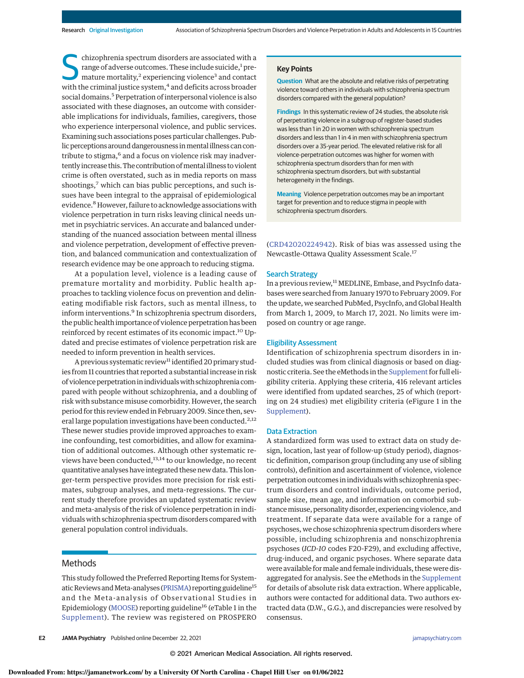S chizophrenia spectrum disorders are associated with a range of adverse outcomes. These include suicide, $1$  premature mortality,<sup>2</sup> experiencing violence<sup>3</sup> and contact with the criminal justice system,<sup>4</sup> and deficits across broader social domains.<sup>5</sup> Perpetration of interpersonal violence is also associated with these diagnoses, an outcome with considerable implications for individuals, families, caregivers, those who experience interpersonal violence, and public services. Examining such associations poses particular challenges. Public perceptions around dangerousness in mental illness can contribute to stigma,<sup>6</sup> and a focus on violence risk may inadvertently increase this. The contribution of mental illness to violent crime is often overstated, such as in media reports on mass shootings,<sup>7</sup> which can bias public perceptions, and such issues have been integral to the appraisal of epidemiological evidence.8However, failure to acknowledge associations with violence perpetration in turn risks leaving clinical needs unmet in psychiatric services. An accurate and balanced understanding of the nuanced association between mental illness and violence perpetration, development of effective prevention, and balanced communication and contextualization of research evidence may be one approach to reducing stigma.

At a population level, violence is a leading cause of premature mortality and morbidity. Public health approaches to tackling violence focus on prevention and delineating modifiable risk factors, such as mental illness, to inform interventions.<sup>9</sup> In schizophrenia spectrum disorders, the public health importance of violence perpetration has been reinforced by recent estimates of its economic impact.<sup>10</sup> Updated and precise estimates of violence perpetration risk are needed to inform prevention in health services.

A previous systematic review<sup>11</sup> identified 20 primary studies from 11 countries that reported a substantial increase in risk of violence perpetration in individualswith schizophrenia compared with people without schizophrenia, and a doubling of risk with substance misuse comorbidity. However, the search period for this review ended in February 2009. Since then, several large population investigations have been conducted.<sup>2,12</sup> These newer studies provide improved approaches to examine confounding, test comorbidities, and allow for examination of additional outcomes. Although other systematic reviews have been conducted,<sup>13,14</sup> to our knowledge, no recent quantitative analyses have integrated these new data. This longer-term perspective provides more precision for risk estimates, subgroup analyses, and meta-regressions. The current study therefore provides an updated systematic review and meta-analysis of the risk of violence perpetration in individuals with schizophrenia spectrum disorders compared with general population control individuals.

## Methods

This study followed the Preferred Reporting Items for Systematic Reviews and Meta-analyses (PRISMA) reporting guideline<sup>15</sup> and the Meta-analysis of Observational Studies in Epidemiology (MOOSE) reporting guideline<sup>16</sup> (eTable 1 in the Supplement). The review was registered on PROSPERO

#### **Key Points**

**Question** What are the absolute and relative risks of perpetrating violence toward others in individuals with schizophrenia spectrum disorders compared with the general population?

**Findings** In this systematic review of 24 studies, the absolute risk of perpetrating violence in a subgroup of register-based studies was less than 1 in 20 in women with schizophrenia spectrum disorders and less than 1 in 4 in men with schizophrenia spectrum disorders over a 35-year period. The elevated relative risk for all violence-perpetration outcomes was higher for women with schizophrenia spectrum disorders than for men with schizophrenia spectrum disorders, but with substantial heterogeneity in the findings.

**Meaning** Violence perpetration outcomes may be an important target for prevention and to reduce stigma in people with schizophrenia spectrum disorders.

(CRD42020224942). Risk of bias was assessed using the Newcastle-Ottawa Quality Assessment Scale.<sup>17</sup>

#### Search Strategy

In a previous review,<sup>11</sup> MEDLINE, Embase, and PsycInfo databases were searched from January 1970 to February 2009. For the update, we searched PubMed, PsycInfo, and Global Health from March 1, 2009, to March 17, 2021. No limits were imposed on country or age range.

#### Eligibility Assessment

Identification of schizophrenia spectrum disorders in included studies was from clinical diagnosis or based on diagnostic criteria. See the eMethods in the Supplement for full eligibility criteria. Applying these criteria, 416 relevant articles were identified from updated searches, 25 of which (reporting on 24 studies) met eligibility criteria (eFigure 1 in the Supplement).

#### Data Extraction

A standardized form was used to extract data on study design, location, last year of follow-up (study period), diagnostic definition, comparison group (including any use of sibling controls), definition and ascertainment of violence, violence perpetration outcomes in individuals with schizophrenia spectrum disorders and control individuals, outcome period, sample size, mean age, and information on comorbid substance misuse, personality disorder, experiencing violence, and treatment. If separate data were available for a range of psychoses, we chose schizophrenia spectrum disorders where possible, including schizophrenia and nonschizophrenia psychoses (ICD-10 codes F20-F29), and excluding affective, drug-induced, and organic psychoses. Where separate data were available for male and female individuals, these were disaggregated for analysis. See the eMethods in the Supplement for details of absolute risk data extraction. Where applicable, authors were contacted for additional data. Two authors extracted data (D.W., G.G.), and discrepancies were resolved by consensus.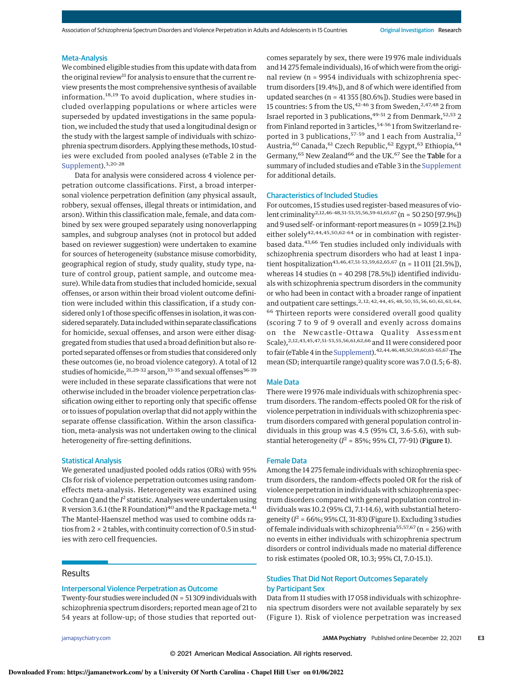#### Meta-Analysis

We combined eligible studies from this update with data from the original review<sup>11</sup> for analysis to ensure that the current review presents the most comprehensive synthesis of available information.<sup>18,19</sup> To avoid duplication, where studies included overlapping populations or where articles were superseded by updated investigations in the same population, we included the study that used a longitudinal design or the study with the largest sample of individuals with schizophrenia spectrum disorders. Applying thesemethods, 10 studies were excluded from pooled analyses (eTable 2 in the Supplement).<sup>3,20-28</sup>

Data for analysis were considered across 4 violence perpetration outcome classifications. First, a broad interpersonal violence perpetration definition (any physical assault, robbery, sexual offenses, illegal threats or intimidation, and arson). Within this classification male, female, and data combined by sex were grouped separately using nonoverlapping samples, and subgroup analyses (not in protocol but added based on reviewer suggestion) were undertaken to examine for sources of heterogeneity (substance misuse comorbidity, geographical region of study, study quality, study type, nature of control group, patient sample, and outcome measure). While data from studies that included homicide, sexual offenses, or arson within their broad violent outcome definition were included within this classification, if a study considered only 1 of those specific offenses in isolation, it was considered separately. Data included within separate classifications for homicide, sexual offenses, and arson were either disaggregated from studies that used a broad definition but also reported separated offenses or from studies that considered only these outcomes (ie, no broad violence category). A total of 12 studies of homicide,  $21,29-32$  arson,  $33-35$  and sexual offenses  $36-39$ were included in these separate classifications that were not otherwise included in the broader violence perpetration classification owing either to reporting only that specific offense or to issues of population overlap that did not apply within the separate offense classification. Within the arson classification, meta-analysis was not undertaken owing to the clinical heterogeneity of fire-setting definitions.

#### Statistical Analysis

We generated unadjusted pooled odds ratios (ORs) with 95% CIs for risk of violence perpetration outcomes using randomeffects meta-analysis. Heterogeneity was examined using Cochran Q and the  $I^2$  statistic. Analyses were undertaken using R version 3.6.1 (the R Foundation)<sup>40</sup> and the R package meta.<sup>41</sup> The Mantel-Haenszel method was used to combine odds ratios from 2 × 2 tables, with continuity correction of 0.5 in studies with zero cell frequencies.

## Results

## Interpersonal Violence Perpetration as Outcome

Twenty-four studies were included ( $N = 51309$  individuals with schizophrenia spectrum disorders; reported mean age of 21 to 54 years at follow-up; of those studies that reported out-

comes separately by sex, there were 19 976 male individuals and 14 275 female individuals), 16 of which were from the original review (n = 9954 individuals with schizophrenia spectrum disorders [19.4%]), and 8 of which were identified from updated searches (n = 41 355 [80.6%]). Studies were based in 15 countries: 5 from the US,  $42-46$  3 from Sweden,  $2,47,48$  2 from Israel reported in 3 publications, <sup>49-51</sup> 2 from Denmark, <sup>52,53</sup> 2 from Finland reported in 3 articles,<sup>54-56</sup>1 from Switzerland reported in 3 publications,<sup>57-59</sup> and 1 each from Australia,<sup>12</sup> Austria,<sup>60</sup> Canada,<sup>61</sup> Czech Republic,<sup>62</sup> Egypt,<sup>63</sup> Ethiopia,<sup>64</sup> Germany,<sup>65</sup> New Zealand<sup>66</sup> and the UK.<sup>67</sup> See the Table for a summary of included studies and eTable 3 in the Supplement for additional details.

#### Characteristics of Included Studies

For outcomes, 15 studies used register-based measures of violent criminality<sup>2,12,46-48,51-53,55,56,59-61,65,67</sup> (n = 50 250 [97.9%]) and 9 used self- or informant-report measures (n = 1059 [2.1%]) either solely<sup>42,44,45,50,62-64</sup> or in combination with registerbased data.<sup>43,66</sup> Ten studies included only individuals with schizophrenia spectrum disorders who had at least 1 inpatient hospitalization<sup>43,46,47,51-53,59,62,65,67</sup> (n = 11 011 [21.5%]), whereas 14 studies (n = 40 298 [78.5%]) identified individuals with schizophrenia spectrum disorders in the community or who had been in contact with a broader range of inpatient and outpatient care settings.2, 12, 42, 44, 45, 48, 50, 55, 56, 60, 61, 63, 64,  $^{66}$  Thirteen reports were considered overall good quality (scoring 7 to 9 of 9 overall and evenly across domains on the Newcastle-Ottawa Quality Assessment Scale),2,12,43,45,47,51-53,55,56,61,62,66 and 11 were considered poor to fair (eTable 4 in the Supplement).  $42,44,46,48,50,59,60,63-65,67$  The mean (SD; interquartile range) quality score was 7.0 (1.5; 6-8).

#### Male Data

There were 19 976 male individuals with schizophrenia spectrum disorders. The random-effects pooled OR for the risk of violence perpetration in individuals with schizophrenia spectrum disorders compared with general population control individuals in this group was 4.5 (95% CI, 3.6-5.6), with substantial heterogeneity ( $I^2$  = 85%; 95% CI, 77-91) (**Figure 1**).

#### Female Data

Among the 14 275 female individuals with schizophrenia spectrum disorders, the random-effects pooled OR for the risk of violence perpetration in individuals with schizophrenia spectrum disorders compared with general population control individuals was 10.2 (95% CI, 7.1-14.6), with substantial heterogeneity ( $I^2$  = 66%; 95% CI, 31-83) (Figure 1). Excluding 3 studies of female individuals with schizophrenia<sup>55,57,67</sup> (n = 256) with no events in either individuals with schizophrenia spectrum disorders or control individuals made no material difference to risk estimates (pooled OR, 10.3; 95% CI, 7.0-15.1).

## Studies That Did Not Report Outcomes Separately by Participant Sex

Data from 11 studies with 17 058 individuals with schizophrenia spectrum disorders were not available separately by sex (Figure 1). Risk of violence perpetration was increased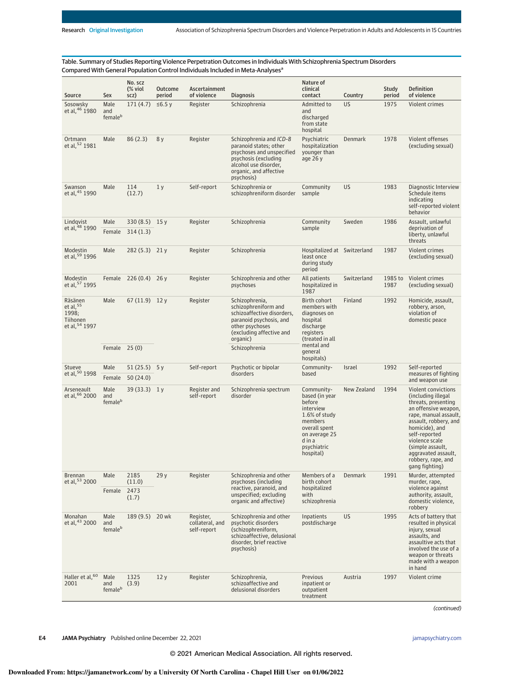Table. Summary of Studies Reporting Violence Perpetration Outcomes in Individuals With Schizophrenia Spectrum Disorders Compared With General Population Control Individuals Included in Meta-Analyses<sup>a</sup>

| Source                                                        | Sex                     | No. scz<br>(% viol<br>scz)  | Outcome<br>period | Ascertainment<br>of violence                                                | <b>Diagnosis</b>                                                                                                                                                        | Nature of<br>clinical<br>contact                                                                                                                        | Country     | Study<br>period                                                          | <b>Definition</b><br>of violence                                                                                                                                                                                                                                                    |  |
|---------------------------------------------------------------|-------------------------|-----------------------------|-------------------|-----------------------------------------------------------------------------|-------------------------------------------------------------------------------------------------------------------------------------------------------------------------|---------------------------------------------------------------------------------------------------------------------------------------------------------|-------------|--------------------------------------------------------------------------|-------------------------------------------------------------------------------------------------------------------------------------------------------------------------------------------------------------------------------------------------------------------------------------|--|
| Sosowsky<br>et al, 46 1980                                    | Male<br>and<br>femaleb  | 171(4.7)                    | $≤6.5y$           | Register                                                                    | Schizophrenia                                                                                                                                                           | Admitted to<br>and<br>discharged<br>from state<br>hospital                                                                                              | <b>US</b>   | 1975                                                                     | Violent crimes                                                                                                                                                                                                                                                                      |  |
| Ortmann<br>et al, 52 1981                                     | Male                    | 86(2.3)                     | 8 y               | Register                                                                    | Schizophrenia and ICD-8<br>paranoid states; other<br>psychoses and unspecified<br>psychosis (excluding<br>alcohol use disorder,<br>organic, and affective<br>psychosis) | Psychiatric<br>hospitalization<br>younger than<br>age $26y$                                                                                             | Denmark     | 1978                                                                     | Violent offenses<br>(excluding sexual)                                                                                                                                                                                                                                              |  |
| Swanson<br>et al, 45 1990                                     | Male                    | 114<br>(12.7)               | 1 <sub>y</sub>    | Self-report                                                                 | Schizophrenia or<br>schizophreniform disorder                                                                                                                           | Community<br>sample                                                                                                                                     | <b>US</b>   | 1983                                                                     | Diagnostic Interview<br>Schedule items<br>indicating<br>self-reported violent<br>behavior                                                                                                                                                                                           |  |
| Lindqvist<br>et al, 48 1990                                   | Male<br>Female          | $330(8.5)$ 15 y<br>314(1.3) |                   | Register                                                                    | Schizophrenia                                                                                                                                                           | Community<br>sample                                                                                                                                     | Sweden      | 1986                                                                     | Assault, unlawful<br>deprivation of<br>liberty, unlawful<br>threats                                                                                                                                                                                                                 |  |
| Modestin<br>et al, 59 1996                                    | Male                    | 282 (5.3) 21 y              |                   | Register                                                                    | Schizophrenia                                                                                                                                                           | Hospitalized at Switzerland<br>least once<br>during study<br>period                                                                                     |             | 1987                                                                     | Violent crimes<br>(excluding sexual)                                                                                                                                                                                                                                                |  |
| <b>Modestin</b><br>et al, 57 1995                             |                         | Female $226(0.4)$ 26 y      |                   | Register                                                                    | Schizophrenia and other<br>psychoses                                                                                                                                    | All patients<br>hospitalized in<br>1987                                                                                                                 | Switzerland | 1985 to<br>1987                                                          | Violent crimes<br>(excluding sexual)                                                                                                                                                                                                                                                |  |
| Räsänen<br>et al, $55$<br>1998;<br>Tiihonen<br>et al, 54 1997 | Male                    | $67(11.9)$ 12 y             |                   | Register                                                                    | Schizophrenia,<br>schizophreniform and<br>schizoaffective disorders,<br>paranoid psychosis, and<br>other psychoses<br>(excluding affective and<br>organic)              | Birth cohort<br>members with<br>diagnoses on<br>hospital<br>discharge<br>registers<br>(treated in all                                                   | Finland     | 1992                                                                     | Homicide, assault,<br>robbery, arson,<br>violation of<br>domestic peace                                                                                                                                                                                                             |  |
|                                                               | Female 25 (0)           |                             |                   |                                                                             | Schizophrenia                                                                                                                                                           | mental and<br>general<br>hospitals)                                                                                                                     |             |                                                                          |                                                                                                                                                                                                                                                                                     |  |
| Stueve                                                        | Male                    | $51(25.5)$ 5y               |                   | Self-report                                                                 | Psychotic or bipolar                                                                                                                                                    | Community-                                                                                                                                              | Israel      | 1992                                                                     | Self-reported                                                                                                                                                                                                                                                                       |  |
| et al, 50 1998                                                | Female                  | 50(24.0)                    |                   |                                                                             | disorders                                                                                                                                                               | based                                                                                                                                                   |             |                                                                          | measures of fighting<br>and weapon use                                                                                                                                                                                                                                              |  |
| Arseneault<br>et al, 66 2000                                  | Male<br>and<br>femaleb  | $39(33.3)$ 1y               |                   | Register and<br>self-report                                                 | Schizophrenia spectrum<br>disorder                                                                                                                                      | Community-<br>based (in year<br>before<br>interview<br>1.6% of study<br>members<br>overall spent<br>on average 25<br>d in a<br>psychiatric<br>hospital) | New Zealand | 1994                                                                     | Violent convictions<br>(including illegal)<br>threats, presenting<br>an offensive weapon,<br>rape, manual assault,<br>assault, robbery, and<br>homicide), and<br>self-reported<br>violence scale<br>(simple assault,<br>aggravated assault,<br>robbery, rape, and<br>gang fighting) |  |
| Brennan<br>et al, 53 2000                                     | Male                    | 2185<br>(11.0)              | 29y               | Register                                                                    | Schizophrenia and other<br>psychoses (including                                                                                                                         | Members of a<br>birth cohort                                                                                                                            | Denmark     | 1991                                                                     | Murder, attempted<br>murder, rape,                                                                                                                                                                                                                                                  |  |
|                                                               | 2473<br>Female<br>(1.7) |                             |                   | reactive, paranoid, and<br>unspecified; excluding<br>organic and affective) | hospitalized<br>with<br>schizophrenia                                                                                                                                   |                                                                                                                                                         |             | violence against<br>authority, assault,<br>domestic violence,<br>robbery |                                                                                                                                                                                                                                                                                     |  |
| Monahan<br>et al, 43 2000                                     | Male<br>and<br>femaleb  | 189 (9.5) 20 wk             |                   | Register,<br>collateral, and<br>self-report                                 | Schizophrenia and other<br>psychotic disorders<br>(schizophreniform,<br>schizoaffective, delusional<br>disorder, brief reactive<br>psychosis)                           | Inpatients<br>postdischarge                                                                                                                             | US          | 1995                                                                     | Acts of battery that<br>resulted in physical<br>injury, sexual<br>assaults, and<br>assaultive acts that<br>involved the use of a<br>weapon or threats<br>made with a weapon<br>in hand                                                                                              |  |
| Haller et al, 60<br>2001                                      | Male<br>and<br>femaleb  | 1325<br>(3.9)               | 12y               | Register                                                                    | Schizophrenia,<br>schizoaffective and<br>delusional disorders                                                                                                           | Previous<br>inpatient or<br>outpatient<br>treatment                                                                                                     | Austria     | 1997                                                                     | Violent crime                                                                                                                                                                                                                                                                       |  |

(continued)

**E4 JAMA Psychiatry** Published online December 22, 2021 **(Reprinted)** in the state of the state of the state of the state of the state of the state of the state of the state of the state of the state of the state of the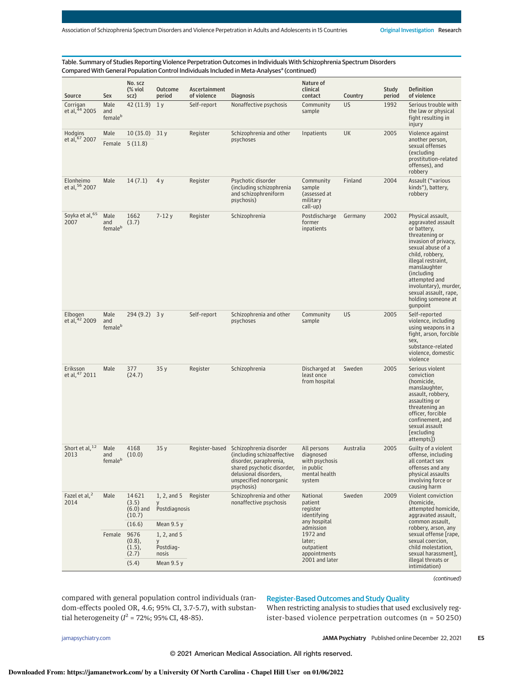Table. Summary of Studies Reporting Violence Perpetration Outcomes in Individuals With Schizophrenia Spectrum Disorders Compared With General Population Control Individuals Included in Meta-Analyses<sup>a</sup> (continued)

| Source                            | Sex                                | No. scz<br>(% viol<br>scz)                        | Outcome<br>period                                    | Ascertainment<br>of violence | <b>Diagnosis</b>                                                                                                                                                              | Nature of<br>clinical<br>contact                                                   | Country   | Study<br>period | <b>Definition</b><br>of violence                                                                                                                                                                                                                                                                  |
|-----------------------------------|------------------------------------|---------------------------------------------------|------------------------------------------------------|------------------------------|-------------------------------------------------------------------------------------------------------------------------------------------------------------------------------|------------------------------------------------------------------------------------|-----------|-----------------|---------------------------------------------------------------------------------------------------------------------------------------------------------------------------------------------------------------------------------------------------------------------------------------------------|
| Corrigan<br>et al, 44 2005        | Male<br>and<br>femaleb             | 42 (11.9)                                         | 1 <sub>y</sub>                                       | Self-report                  | Nonaffective psychosis                                                                                                                                                        | Community<br>sample                                                                | <b>US</b> | 1992            | Serious trouble with<br>the law or physical<br>fight resulting in<br>injury                                                                                                                                                                                                                       |
| Hodgins<br>et al, 67 2007         | Male                               | $10(35.0)$ 31 y<br>Female 5 (11.8)                |                                                      | Register                     | Schizophrenia and other<br>psychoses                                                                                                                                          | Inpatients                                                                         | UK        | 2005            | Violence against<br>another person,<br>sexual offenses<br>(excluding<br>prostitution-related<br>offenses), and<br>robbery                                                                                                                                                                         |
| Elonheimo<br>et al, 56 2007       | Male                               | 14(7.1)                                           | 4y                                                   | Register                     | Psychotic disorder<br>(including schizophrenia<br>and schizophreniform<br>psychosis)                                                                                          | Community<br>sample<br>(assessed at<br>military<br>call-up)                        | Finland   | 2004            | Assault ("various<br>kinds"), battery,<br>robbery                                                                                                                                                                                                                                                 |
| Soyka et al, 65<br>2007           | Male<br>and<br>female <sup>b</sup> | 1662<br>(3.7)                                     | $7 - 12y$                                            | Register                     | Schizophrenia                                                                                                                                                                 | Postdischarge<br>former<br>inpatients                                              | Germany   | 2002            | Physical assault,<br>aggravated assault<br>or battery,<br>threatening or<br>invasion of privacy,<br>sexual abuse of a<br>child, robbery,<br>illegal restraint,<br>manslaughter<br>(including<br>attempted and<br>involuntary), murder,<br>sexual assault, rape,<br>holding someone at<br>gunpoint |
| Elbogen<br>et al, 42 2009         | Male<br>and<br>female <sup>b</sup> | $294(9.2)$ 3 y                                    |                                                      | Self-report                  | Schizophrenia and other<br>psychoses                                                                                                                                          | Community<br>sample                                                                | US        | 2005            | Self-reported<br>violence, including<br>using weapons in a<br>fight, arson, forcible<br>sex,<br>substance-related<br>violence, domestic<br>violence                                                                                                                                               |
| Eriksson<br>et al, 47 2011        | Male                               | 377<br>(24.7)                                     | 35y                                                  | Register                     | Schizophrenia                                                                                                                                                                 | Discharged at<br>least once<br>from hospital                                       | Sweden    | 2005            | Serious violent<br>conviction<br>(homicide,<br>manslaughter,<br>assault, robbery,<br>assaulting or<br>threatening an<br>officer, forcible<br>confinement, and<br>sexual assault<br>[excluding<br>attempts])                                                                                       |
| Short et al, 12<br>2013           | Male<br>and<br>femaleb             | 4168<br>(10.0)                                    | 35y                                                  | Register-based               | Schizophrenia disorder<br>(including schizoaffective<br>disorder, paraphrenia,<br>shared psychotic disorder,<br>delusional disorders,<br>unspecified nonorganic<br>psychosis) | All persons<br>diagnosed<br>with psychosis<br>in public<br>mental health<br>system | Australia | 2005            | Guilty of a violent<br>offense, including<br>all contact sex<br>offenses and any<br>physical assaults<br>involving force or<br>causing harm                                                                                                                                                       |
| Fazel et al, <sup>2</sup><br>2014 | Male                               | 14621<br>(3.5)<br>$(6.0)$ and<br>(10.7)<br>(16.6) | 1, 2, and 5<br>у<br>Postdiagnosis<br>Mean 9.5 y      | Register                     | Schizophrenia and other<br>nonaffective psychosis                                                                                                                             | National<br>patient<br>register<br>identifying<br>any hospital                     | Sweden    | 2009            | Violent conviction<br>(homicide,<br>attempted homicide,<br>aggravated assault,<br>common assault,                                                                                                                                                                                                 |
|                                   | Female                             | 9676<br>$(0.8)$ ,<br>$(1.5)$ ,<br>(2.7)<br>(5.4)  | 1, 2, and 5<br>y<br>Postdiag-<br>nosis<br>Mean 9.5 y |                              |                                                                                                                                                                               | admission<br>1972 and<br>later;<br>outpatient<br>appointments<br>2001 and later    |           |                 | robbery, arson, any<br>sexual offense [rape,<br>sexual coercion,<br>child molestation,<br>sexual harassment],<br>illegal threats or<br>intimidation)                                                                                                                                              |

(continued)

compared with general population control individuals (random-effects pooled OR, 4.6; 95% CI, 3.7-5.7), with substantial heterogeneity ( $I^2$  = 72%; 95% CI, 48-85).

# Register-Based Outcomes and Study Quality

When restricting analysis to studies that used exclusively register-based violence perpetration outcomes (n = 50 250)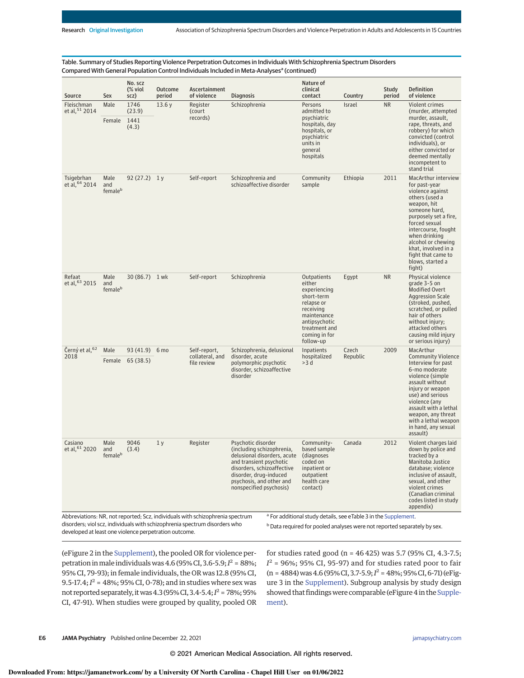| Table. Summary of Studies Reporting Violence Perpetration Outcomes in Individuals With Schizophrenia Spectrum Disorders |  |
|-------------------------------------------------------------------------------------------------------------------------|--|
| Compared With General Population Control Individuals Included in Meta-Analyses <sup>a</sup> (continued)                 |  |

| Source                       | Sex                                 | No. scz<br>(% viol<br>scz)         | <b>Outcome</b><br>period | Ascertainment<br>of violence                                                             | <b>Diagnosis</b>                                                                                                                                                                                                         | Nature of<br>clinical<br>contact                                                                                                                                                           | Country           | Study<br>period | <b>Definition</b><br>of violence                                                                                                                                                                                                                                                                             |
|------------------------------|-------------------------------------|------------------------------------|--------------------------|------------------------------------------------------------------------------------------|--------------------------------------------------------------------------------------------------------------------------------------------------------------------------------------------------------------------------|--------------------------------------------------------------------------------------------------------------------------------------------------------------------------------------------|-------------------|-----------------|--------------------------------------------------------------------------------------------------------------------------------------------------------------------------------------------------------------------------------------------------------------------------------------------------------------|
| Fleischman<br>et al, 51 2014 | Male<br>Female                      | 1746<br>(23.9)<br>1441<br>(4.3)    | 13.6y                    | Register<br>(court<br>records)                                                           | Schizophrenia                                                                                                                                                                                                            | Persons<br>admitted to<br>psychiatric<br>hospitals, day<br>hospitals, or<br>psychiatric<br>units in<br>qeneral<br>hospitals                                                                | Israel            | <b>NR</b>       | Violent crimes<br>(murder, attempted<br>murder, assault,<br>rape, threats, and<br>robbery) for which<br>convicted (control<br>individuals), or<br>either convicted or<br>deemed mentally<br>incompetent to                                                                                                   |
| Tsigebrhan<br>et al, 64 2014 | Male<br>and<br>femaleb              | $92(27.2)$ 1y                      |                          | Self-report                                                                              | Schizophrenia and<br>schizoaffective disorder                                                                                                                                                                            | Community<br>sample                                                                                                                                                                        | Ethiopia          | 2011            | stand trial<br>MacArthur interview<br>for past-year<br>violence against<br>others (used a<br>weapon, hit<br>someone hard,<br>purposely set a fire,<br>forced sexual<br>intercourse, fought<br>when drinking<br>alcohol or chewing<br>khat, involved in a<br>fight that came to<br>blows, started a<br>fight) |
| Refaat<br>et al, 63 2015     | Male<br>and<br>femaleb              | 30 (86.7) 1 wk                     |                          | Self-report                                                                              | Schizophrenia                                                                                                                                                                                                            | <b>Outpatients</b><br>either<br>experiencing<br>short-term<br>relapse or<br>receiving<br>maintenance<br>antipsychotic<br>treatment and<br>coming in for<br>follow-up                       | Egypt             | <b>NR</b>       | Physical violence<br>grade 3-5 on<br><b>Modified Overt</b><br><b>Aggression Scale</b><br>(stroked, pushed,<br>scratched, or pulled<br>hair of others<br>without injury;<br>attacked others<br>causing mild injury<br>or serious injury)                                                                      |
| Černý et al, 62<br>2018      | Male                                | 93 (41.9) 6 mo<br>Female 65 (38.5) |                          | Self-report,<br>collateral, and<br>file review                                           | Schizophrenia, delusional<br>disorder, acute<br>polymorphic psychotic<br>disorder, schizoaffective<br>disorder                                                                                                           | Inpatients<br>hospitalized<br>>3 d                                                                                                                                                         | Czech<br>Republic | 2009            | MacArthur<br><b>Community Violence</b><br>Interview for past<br>6-mo moderate<br>violence (simple<br>assault without<br>injury or weapon<br>use) and serious<br>violence (any<br>assault with a lethal<br>weapon, any threat<br>with a lethal weapon<br>in hand, any sexual<br>assault)                      |
| Casiano<br>et al, 61 2020    | Male<br>and<br>$f$ emale $^{\rm b}$ | 9046<br>(3.4)                      | 1 <sub>y</sub>           | Register<br>Abbreviations. NP not reported. Scz. individuals with schizophrenia spectrum | Psychotic disorder<br>(including schizophrenia,<br>delusional disorders, acute<br>and transient psychotic<br>disorders, schizoaffective<br>disorder, drug-induced<br>psychosis, and other and<br>nonspecified psychosis) | Community-<br>based sample<br>(diagnoses<br>coded on<br>inpatient or<br>outpatient<br>health care<br>contact)<br><sup>a</sup> For additional study details, see eTable 3 in the Supplement | Canada            | 2012            | Violent charges laid<br>down by police and<br>tracked by a<br>Manitoba Justice<br>database; violence<br>inclusive of assault,<br>sexual, and other<br>violent crimes<br>(Canadian criminal<br>codes listed in study<br>appendix)                                                                             |

Abbreviations: NR, not reported; Scz, individuals with schizophrenia spectrum disorders; viol scz, individuals with schizophrenia spectrum disorders who developed at least one violence perpetration outcome.

For additional study details, see eTable 3 in the Supplement. b Data required for pooled analyses were not reported separately by sex.

(eFigure 2 in the Supplement), the pooled OR for violence perpetration in male individuals was 4.6 (95% CI, 3.6-5.9;  $I^2 = 88$ %; 95% CI, 79-93); in female individuals, the OR was 12.8 (95% CI, 9.5-17.4;  $I^2 = 48\%;$  95% CI, 0-78); and in studies where sex was not reported separately, it was 4.3 (95% CI, 3.4-5.4;  $I^2$  = 78%; 95% CI, 47-91). When studies were grouped by quality, pooled OR for studies rated good (n = 46 425) was 5.7 (95% CI, 4.3-7.5;  $I^2$  = 96%; 95% CI, 95-97) and for studies rated poor to fair  $(n = 4884)$  was 4.6 (95% CI, 3.7-5.9;  $I^2 = 48$ %; 95% CI, 6-71) (eFigure 3 in the Supplement). Subgroup analysis by study design showed that findings were comparable (eFigure 4 in the Supplement).

**E6 JAMA Psychiatry** Published online December 22, 2021 **(Reprinted)** jamapsychiatry.com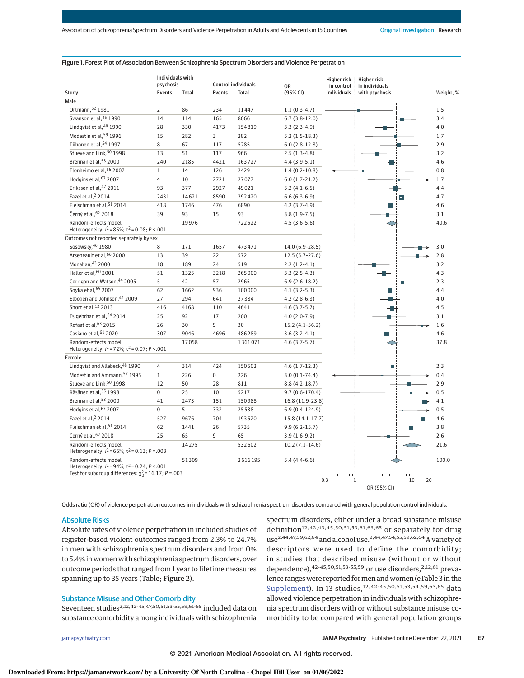#### Figure 1. Forest Plot of Association Between Schizophrenia Spectrum Disorders and Violence Perpetration

|                                                                                                                                                 | Individuals with<br>psychosis |              | <b>Control individuals</b> |              | OR                | Higher risk<br>in control | Higher risk<br>in individuals |                   |
|-------------------------------------------------------------------------------------------------------------------------------------------------|-------------------------------|--------------|----------------------------|--------------|-------------------|---------------------------|-------------------------------|-------------------|
| Study                                                                                                                                           | Events                        | <b>Total</b> | Events                     | <b>Total</b> | (95% CI)          | individuals               | with psychosis                | Weight, %         |
| Male                                                                                                                                            |                               |              |                            |              |                   |                           |                               |                   |
| Ortmann, 52 1981                                                                                                                                | $\overline{2}$                | 86           | 234                        | 11447        | $1.1(0.3-4.7)$    |                           |                               | 1.5               |
| Swanson et al, 45 1990                                                                                                                          | 14                            | 114          | 165                        | 8066         | $6.7(3.8-12.0)$   |                           |                               | 3.4               |
| Lindqvist et al, 48 1990                                                                                                                        | 28                            | 330          | 4173                       | 154819       | $3.3(2.3-4.9)$    |                           |                               | 4.0               |
| Modestin et al, 59 1996                                                                                                                         | 15                            | 282          | 3                          | 282          | $5.2(1.5-18.3)$   |                           |                               | 1.7               |
| Tiihonen et al, 54 1997                                                                                                                         | 8                             | 67           | 117                        | 5285         | $6.0(2.8-12.8)$   |                           |                               | 2.9               |
| Stueve and Link, 50 1998                                                                                                                        | 13                            | 51           | 117                        | 966          | $2.5(1.3-4.8)$    |                           |                               | 3.2               |
| Brennan et al, 53 2000                                                                                                                          | 240                           | 2185         | 4421                       | 163727       | $4.4(3.9-5.1)$    |                           |                               | 4.6               |
| Elonheimo et al, 56 2007                                                                                                                        | $\mathbf{1}$                  | 14           | 126                        | 2429         | $1.4(0.2-10.8)$   |                           |                               | 0.8               |
| Hodgins et al, 67 2007                                                                                                                          | $\overline{4}$                | 10           | 2721                       | 27077        | $6.0(1.7-21.2)$   |                           |                               | 1.7               |
| Eriksson et al, 47 2011                                                                                                                         | 93                            | 377          | 2927                       | 49021        | $5.2(4.1-6.5)$    |                           |                               | 4.4               |
| Fazel et al, 2 2014                                                                                                                             | 2431                          | 14621        | 8590                       | 292420       | $6.6(6.3-6.9)$    |                           | $\vert - \vert$               | 4.7               |
| Fleischman et al, 51 2014                                                                                                                       | 418                           | 1746         | 476                        | 6890         | $4.2(3.7-4.9)$    |                           |                               | 4.6               |
| Černý et al, 62 2018                                                                                                                            | 39                            | 93           | 15                         | 93           | $3.8(1.9-7.5)$    |                           |                               | 3.1               |
| Random-effects model<br>Heterogeneity: $I^2 = 85\%$ ; $\tau^2 = 0.08$ ; $P < .001$                                                              |                               | 19976        |                            | 722522       | $4.5(3.6-5.6)$    |                           |                               | 40.6              |
| Outcomes not reported separately by sex                                                                                                         |                               |              |                            |              |                   |                           |                               |                   |
| Sosowsky, 46 1980                                                                                                                               | 8                             | 171          | 1657                       | 473471       | 14.0 (6.9-28.5)   |                           |                               | 3.0               |
| Arseneault et al, 66 2000                                                                                                                       | 13                            | 39           | 22                         | 572          | $12.5(5.7-27.6)$  |                           |                               | 2.8               |
| Monahan, 43 2000                                                                                                                                | 18                            | 189          | 24                         | 519          | $2.2(1.2-4.1)$    |                           |                               | 3.2               |
| Haller et al, 60 2001                                                                                                                           | 51                            | 1325         | 3218                       | 265000       | $3.3(2.5-4.3)$    |                           |                               | 4.3               |
| Corrigan and Watson, 44 2005                                                                                                                    | 5                             | 42           | 57                         | 2965         | $6.9(2.6-18.2)$   |                           |                               | 2.3               |
| Soyka et al, 65 2007                                                                                                                            | 62                            | 1662         | 936                        | 100000       | $4.1(3.2-5.3)$    |                           |                               | 4.4               |
| Elbogen and Johnson, 42 2009                                                                                                                    | 27                            | 294          | 641                        | 27384        | $4.2(2.8-6.3)$    |                           |                               | 4.0               |
| Short et al, 12 2013                                                                                                                            | 416                           | 4168         | 110                        | 4641         | $4.6(3.7 - 5.7)$  |                           |                               | 4.5               |
| Tsigebrhan et al, 64 2014                                                                                                                       | 25                            | 92           | 17                         | 200          | $4.0(2.0-7.9)$    |                           |                               | 3.1               |
| Refaat et al. <sup>63</sup> 2015                                                                                                                | 26                            | 30           | 9                          | 30           | $15.2(4.1-56.2)$  |                           |                               | 1.6               |
| Casiano et al, 61 2020                                                                                                                          | 307                           | 9046         | 4696                       | 486289       | $3.6(3.2-4.1)$    |                           |                               | 4.6               |
| Random-effects model<br>Heterogeneity: $I^2 = 72\%$ ; $\tau^2 = 0.07$ ; $P < .001$                                                              |                               | 17058        |                            | 1361071      | $4.6(3.7-5.7)$    |                           |                               | 37.8              |
| Female                                                                                                                                          |                               |              |                            |              |                   |                           |                               |                   |
| Lindqvist and Allebeck, 48 1990                                                                                                                 | $\overline{4}$                | 314          | 424                        | 150502       | $4.6(1.7-12.3)$   |                           |                               | 2.3               |
| Modestin and Ammann. <sup>57</sup> 1995                                                                                                         | $\mathbf{1}$                  | 226          | $\mathbf 0$                | 226          | $3.0(0.1-74.4)$   |                           |                               | 0.4               |
| Stueve and Link, 50 1998                                                                                                                        | 12                            | 50           | 28                         | 811          | $8.8(4.2-18.7)$   |                           |                               | 2.9               |
| Räsänen et al, 55 1998                                                                                                                          | $\mathbf 0$                   | 25           | 10                         | 5217         | $9.7(0.6-170.4)$  |                           |                               | 0.5               |
| Brennan et al, 53 2000                                                                                                                          | 41                            | 2473         | 151                        | 150988       | 16.8 (11.9-23.8)  |                           |                               | 4.1               |
| Hodgins et al, 67 2007                                                                                                                          | $\mathbf 0$                   | 5            | 332                        | 25538        | $6.9(0.4-124.9)$  |                           |                               | 0.5               |
| Fazel et al, 2 2014                                                                                                                             | 527                           | 9676         | 704                        | 193520       | 15.8 (14.1-17.7)  |                           |                               | 4.6               |
| Fleischman et al, 51 2014                                                                                                                       | 62                            | 1441         | 26                         | 5735         | $9.9(6.2 - 15.7)$ |                           |                               | 3.8               |
| Černý et al, 62 2018                                                                                                                            | 25                            | 65           | 9                          | 65           | $3.9(1.6-9.2)$    |                           |                               | 2.6               |
| Random-effects model<br>Heterogeneity: $l^2$ = 66%; $\tau^2$ = 0.13; P = 003                                                                    |                               | 14275        |                            | 532602       | $10.2(7.1-14.6)$  |                           |                               | 21.6              |
| Random-effects model<br>Heterogeneity: $I^2 = 94\%$ ; $\tau^2 = 0.24$ ; $P < .001$<br>Test for subgroup differences: $\chi^2$ = 16.17; P = .003 |                               | 51309        |                            | 2616195      | $5.4(4.4-6.6)$    | 0.3                       | $\mathbf{1}$                  | 100.0<br>10<br>20 |
|                                                                                                                                                 |                               |              |                            |              |                   |                           | OR (95% CI)                   |                   |

Odds ratio (OR) of violence perpetration outcomes in individuals with schizophrenia spectrum disorders compared with general population control individuals.

#### Absolute Risks

Absolute rates of violence perpetration in included studies of register-based violent outcomes ranged from 2.3% to 24.7% in men with schizophrenia spectrum disorders and from 0% to 5.4% in women with schizophrenia spectrum disorders, over outcome periods that ranged from 1 year to lifetime measures spanning up to 35 years (Table; Figure 2).

## Substance Misuse and Other Comorbidity

Seventeen studies<sup>2,12,42-45,47,50,51,53-55,59,61-65</sup> included data on substance comorbidity among individuals with schizophrenia spectrum disorders, either under a broad substance misuse definition<sup>12,42,43,45,50,51,53,61,63,65</sup> or separately for drug use<sup>2,44,47,59,62,64</sup> and alcohol use.<sup>2,44,47,54,55,59,62,64</sup> A variety of descriptors were used to define the comorbidity; in studies that described misuse (without or without dependence),  $42-45,50,51,53-55,59$  or use disorders,  $2,12,61$  prevalence ranges were reported formen and women (eTable 3 in the Supplement). In 13 studies,<sup>12,42-45,50,51,53,54,59,63,65</sup> data allowed violence perpetration in individuals with schizophrenia spectrum disorders with or without substance misuse comorbidity to be compared with general population groups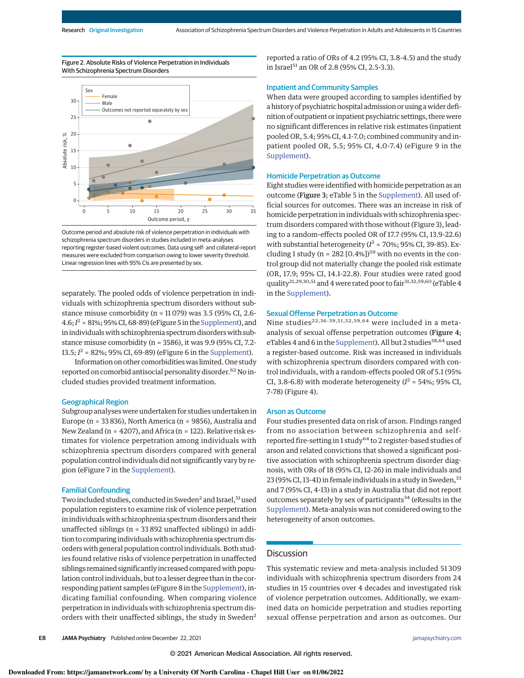Figure 2. Absolute Risks of Violence Perpetration in Individuals With Schizophrenia Spectrum Disorders



Outcome period and absolute risk of violence perpetration in individuals with schizophrenia spectrum disorders in studies included in meta-analyses reporting register-based violent outcomes. Data using self- and collateral-report measures were excluded from comparison owing to lower severity threshold. Linear regression lines with 95% CIs are presented by sex.

separately. The pooled odds of violence perpetration in individuals with schizophrenia spectrum disorders without substance misuse comorbidity (n = 11 079) was 3.5 (95% CI, 2.6-  $4.6; I<sup>2</sup> = 81%; 95% CI, 68-89$  (eFigure 5 in the Supplement), and in individuals with schizophrenia spectrum disorders with substance misuse comorbidity (n = 3586), it was 9.9 (95% CI, 7.2- 13.5;  $I^2 = 82\%$ ; 95% CI, 69-89) (eFigure 6 in the Supplement).

Information on other comorbidities was limited. One study reported on comorbid antisocial personality disorder.<sup>62</sup> No included studies provided treatment information.

#### Geographical Region

Subgroup analyses were undertaken for studies undertaken in Europe (n = 33 836), North America (n = 9856), Australia and New Zealand ( $n = 4207$ ), and Africa ( $n = 122$ ). Relative risk estimates for violence perpetration among individuals with schizophrenia spectrum disorders compared with general population control individuals did not significantly vary by region (eFigure 7 in the Supplement).

### Familial Confounding

Two included studies, conducted in Sweden<sup>2</sup> and Israel, <sup>51</sup> used population registers to examine risk of violence perpetration in individuals with schizophrenia spectrum disorders and their unaffected siblings (n = 33 892 unaffected siblings) in addition to comparing individualswith schizophrenia spectrum disorders with general population control individuals. Both studies found relative risks of violence perpetration in unaffected siblings remained significantly increased compared with population control individuals, but to a lesser degree than in the corresponding patient samples (eFigure 8 in the Supplement), indicating familial confounding. When comparing violence perpetration in individuals with schizophrenia spectrum disorders with their unaffected siblings, the study in Sweden<sup>2</sup>

reported a ratio of ORs of 4.2 (95% CI, 3.8-4.5) and the study in Israel<sup>51</sup> an OR of 2.8 (95% CI, 2.5-3.3).

### Inpatient and Community Samples

When data were grouped according to samples identified by a history of psychiatric hospital admission or using a wider definition of outpatient or inpatient psychiatric settings, there were no significant differences in relative risk estimates (inpatient pooled OR, 5.4; 95% CI, 4.1-7.0; combined community and inpatient pooled OR, 5.5; 95% CI, 4.0-7.4) (eFigure 9 in the Supplement).

#### Homicide Perpetration as Outcome

Eight studies were identified with homicide perpetration as an outcome (Figure 3; eTable 5 in the Supplement). All used official sources for outcomes. There was an increase in risk of homicide perpetration in individuals with schizophrenia spectrum disorders compared with those without (Figure 3), leading to a random-effects pooled OR of 17.7 (95% CI, 13.9-22.6) with substantial heterogeneity ( $I^2$  = 70%; 95% CI, 39-85). Excluding 1 study ( $n = 282$  [0.4%])<sup>59</sup> with no events in the control group did not materially change the pooled risk estimate (OR, 17.9; 95% CI, 14.1-22.8). Four studies were rated good quality<sup>21,29,30,51</sup> and 4 were rated poor to fair<sup>31,32,59,60</sup> (eTable 4 in the Supplement).

#### Sexual Offense Perpetration as Outcome

Nine studies<sup>22,36-39,51,52,59,64</sup> were included in a metaanalysis of sexual offense perpetration outcomes (Figure 4; eTables 4 and 6 in the Supplement). All but 2 studies<sup>38,64</sup> used a register-based outcome. Risk was increased in individuals with schizophrenia spectrum disorders compared with control individuals, with a random-effects pooled OR of 5.1 (95% CI, 3.8-6.8) with moderate heterogeneity ( $I^2$  = 54%; 95% CI, 7-78) (Figure 4).

#### Arson as Outcome

Four studies presented data on risk of arson. Findings ranged from no association between schizophrenia and selfreported fire-setting in 1 study<sup>64</sup> to 2 register-based studies of arson and related convictions that showed a significant positive association with schizophrenia spectrum disorder diagnosis, with ORs of 18 (95% CI, 12-26) in male individuals and 23 (95% CI, 13-41) in female individuals in a study in Sweden, 33 and 7 (95% CI, 4-13) in a study in Australia that did not report outcomes separately by sex of participants $34$  (eResults in the Supplement). Meta-analysis was not considered owing to the heterogeneity of arson outcomes.

## **Discussion**

This systematic review and meta-analysis included 51 309 individuals with schizophrenia spectrum disorders from 24 studies in 15 countries over 4 decades and investigated risk of violence perpetration outcomes. Additionally, we examined data on homicide perpetration and studies reporting sexual offense perpetration and arson as outcomes. Our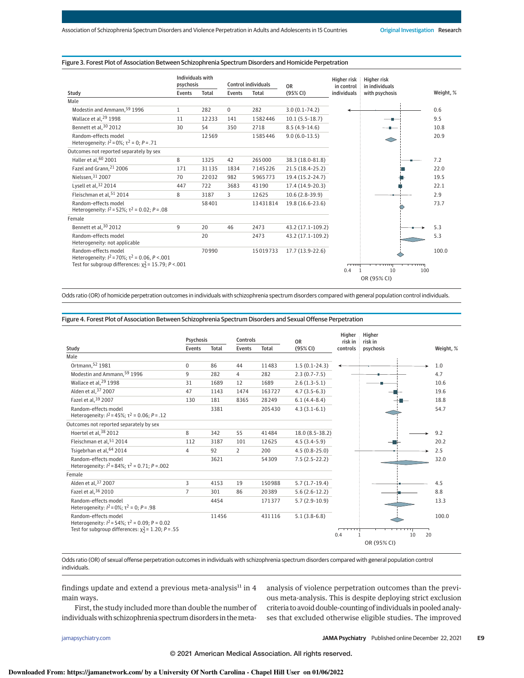### Figure 3. Forest Plot of Association Between Schizophrenia Spectrum Disorders and Homicide Perpetration

|                                                                                                                                          | Individuals with           |       | Control individuals |          |                       | <b>Higher risk</b>        | Higher risk                      |           |
|------------------------------------------------------------------------------------------------------------------------------------------|----------------------------|-------|---------------------|----------|-----------------------|---------------------------|----------------------------------|-----------|
| Study                                                                                                                                    | psychosis<br><b>Events</b> | Total | <b>Events</b>       | Total    | <b>OR</b><br>(95% CI) | in control<br>individuals | in individuals<br>with psychosis |           |
| Male                                                                                                                                     |                            |       |                     |          |                       |                           |                                  | Weight, % |
| Modestin and Ammann, 59 1996                                                                                                             | $\mathbf{1}$               | 282   | $\Omega$            | 282      | $3.0(0.1-74.2)$       |                           |                                  | 0.6       |
|                                                                                                                                          |                            |       |                     |          |                       |                           |                                  |           |
| Wallace et al, 29 1998                                                                                                                   | 11                         | 12233 | 141                 | 1582446  | $10.1(5.5-18.7)$      |                           |                                  | 9.5       |
| Bennett et al, 30 2012                                                                                                                   | 30                         | 54    | 350                 | 2718     | $8.5(4.9-14.6)$       |                           |                                  | 10.8      |
| Random-effects model<br>Heterogeneity: $I^2 = 0\%$ ; $\tau^2 = 0$ ; $P = .71$                                                            |                            | 12569 |                     | 1585446  | $9.0(6.0-13.5)$       |                           |                                  | 20.9      |
| Outcomes not reported separately by sex                                                                                                  |                            |       |                     |          |                       |                           |                                  |           |
| Haller et al, 60 2001                                                                                                                    | 8                          | 1325  | 42                  | 265000   | 38.3 (18.0-81.8)      |                           |                                  | 7.2       |
| Fazel and Grann, <sup>21</sup> 2006                                                                                                      | 171                        | 31135 | 1834                | 7145226  | 21.5 (18.4-25.2)      |                           |                                  | 22.0      |
| Nielssen, 31 2007                                                                                                                        | 70                         | 22032 | 982                 | 5965773  | 19.4 (15.2-24.7)      |                           |                                  | 19.5      |
| Lysell et al, 32 2014                                                                                                                    | 447                        | 722   | 3683                | 43190    | 17.4 (14.9-20.3)      |                           |                                  | 22.1      |
| Fleischman et al, 51 2014                                                                                                                | 8                          | 3187  | 3                   | 12625    | $10.6(2.8-39.9)$      |                           |                                  | 2.9       |
| Random-effects model<br>Heterogeneity: $I^2 = 52\%$ ; $\tau^2 = 0.02$ ; $P = .08$                                                        |                            | 58401 |                     | 13431814 | 19.8 (16.6-23.6)      |                           |                                  | 73.7      |
| Female                                                                                                                                   |                            |       |                     |          |                       |                           |                                  |           |
| Bennett et al, 30 2012                                                                                                                   | 9                          | 20    | 46                  | 2473     | 43.2 (17.1-109.2)     |                           |                                  | 5.3       |
| Random-effects model<br>Heterogeneity: not applicable                                                                                    |                            | 20    |                     | 2473     | 43.2 (17.1-109.2)     |                           |                                  | 5.3       |
| Random-effects model<br>Heterogeneity: $l^2$ = 70%; $\tau^2$ = 0.06, P <.001<br>Test for subgroup differences: $\chi^2$ = 15.79; P <.001 |                            | 70990 |                     | 15019733 | 17.7 (13.9-22.6)      | ொ                         |                                  | 100.0     |
|                                                                                                                                          |                            |       |                     |          |                       | 0.4                       | 10<br>100                        |           |
|                                                                                                                                          |                            |       |                     |          |                       |                           | OR (95% CI)                      |           |

Odds ratio (OR) of homicide perpetration outcomes in individuals with schizophrenia spectrum disorders compared with general population control individuals.

Figure 4. Forest Plot of Association Between Schizophrenia Spectrum Disorders and Sexual Offense Perpetration

|                                                                                                                                             | Psychosis      |       | Controls       |              | 0 <sub>R</sub>   | Higher<br>risk in | Higher<br>risk in |          |           |  |
|---------------------------------------------------------------------------------------------------------------------------------------------|----------------|-------|----------------|--------------|------------------|-------------------|-------------------|----------|-----------|--|
| Study                                                                                                                                       | Events         | Total | Events         | <b>Total</b> | (95% CI)         | controls          | psychosis         |          | Weight, % |  |
| Male                                                                                                                                        |                |       |                |              |                  |                   |                   |          |           |  |
| Ortmann, 52 1981                                                                                                                            | $\Omega$       | 86    | 44             | 11483        | $1.5(0.1-24.3)$  |                   |                   |          | 1.0       |  |
| Modestin and Ammann, 59 1996                                                                                                                | 9              | 282   | $\overline{4}$ | 282          | $2.3(0.7 - 7.5)$ |                   |                   |          | 4.7       |  |
| Wallace et al, <sup>29</sup> 1998                                                                                                           | 31             | 1689  | 12             | 1689         | $2.6(1.3-5.1)$   |                   |                   |          | 10.6      |  |
| Alden et al, 37 2007                                                                                                                        | 47             | 1143  | 1474           | 163727       | $4.7(3.5-6.3)$   |                   |                   |          | 19.6      |  |
| Fazel et al, 39 2007                                                                                                                        | 130            | 181   | 8365           | 28249        | $6.1(4.4-8.4)$   |                   |                   |          | 18.8      |  |
| Random-effects model<br>Heterogeneity: $l^2$ = 45%: $\tau^2$ = 0.06: P = .12                                                                |                | 3381  |                | 205430       | $4.3(3.1-6.1)$   |                   |                   |          | 54.7      |  |
| Outcomes not reported separately by sex                                                                                                     |                |       |                |              |                  |                   |                   |          |           |  |
| Hoertel et al, 38 2012                                                                                                                      | 8              | 342   | 55             | 41484        | 18.0 (8.5-38.2)  |                   |                   |          | 9.2       |  |
| Fleischman et al, 51 2014                                                                                                                   | 112            | 3187  | 101            | 12625        | $4.5(3.4-5.9)$   |                   |                   |          | 20.2      |  |
| Tsigebrhan et al, 64 2014                                                                                                                   | $\overline{4}$ | 92    | $\overline{2}$ | 200          | $4.5(0.8-25.0)$  |                   |                   |          | 2.5       |  |
| Random-effects model<br>Heterogeneity: $I^2 = 84\%$ : $\tau^2 = 0.71$ : $P = .002$                                                          |                | 3621  |                | 54309        | $7.5(2.5-22.2)$  |                   |                   |          | 32.0      |  |
| Female                                                                                                                                      |                |       |                |              |                  |                   |                   |          |           |  |
| Alden et al, 37 2007                                                                                                                        | 3              | 4153  | 19             | 150988       | $5.7(1.7-19.4)$  |                   |                   |          | 4.5       |  |
| Fazel et al, 36 2010                                                                                                                        | $\overline{7}$ | 301   | 86             | 20389        | $5.6(2.6-12.2)$  |                   |                   |          | 8.8       |  |
| Random-effects model<br>Heterogeneity: $I^2 = 0\%$ ; $\tau^2 = 0$ ; $P = .98$                                                               |                | 4454  |                | 171377       | $5.7(2.9-10.9)$  |                   |                   |          | 13.3      |  |
| Random-effects model<br>Heterogeneity: $I^2 = 54\%$ ; $\tau^2 = 0.09$ ; P = 0.02<br>Test for subgroup differences: $\chi^2$ = 1.20; P = .55 |                | 11456 |                | 431116       | $5.1(3.8-6.8)$   | 0.4               |                   | 20<br>10 | 100.0     |  |
|                                                                                                                                             |                |       |                |              |                  |                   | OR (95% CI)       |          |           |  |

Odds ratio (OR) of sexual offense perpetration outcomes in individuals with schizophrenia spectrum disorders compared with general population control individuals.

findings update and extend a previous meta-analysis $^{11}$  in 4 main ways.

First, the study included more than double the number of individuals with schizophrenia spectrum disorders in the meta-

jamapsychiatry.com **(Reprinted) JAMA Psychiatry** Published online December 22, 2021 **E9**

ses that excluded otherwise eligible studies. The improved

analysis of violence perpetration outcomes than the previous meta-analysis. This is despite deploying strict exclusion criteria to avoid double-counting of individuals in pooled analy-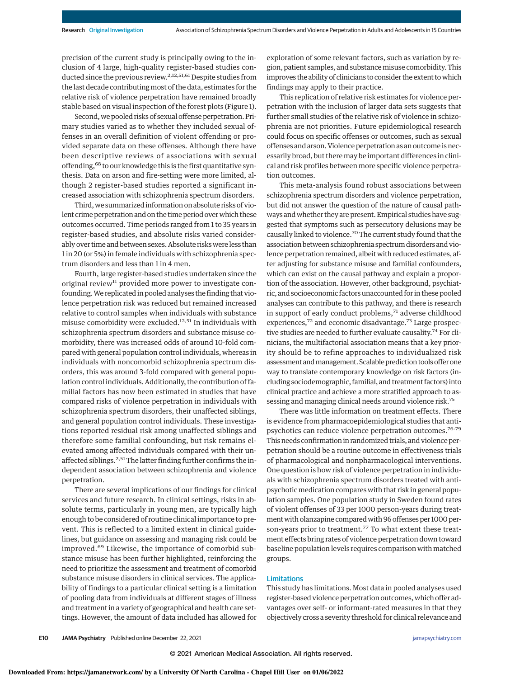precision of the current study is principally owing to the inclusion of 4 large, high-quality register-based studies conducted since the previous review.<sup>2,12,51,61</sup> Despite studies from the last decade contributingmost of the data, estimates for the relative risk of violence perpetration have remained broadly stable based on visual inspection of the forest plots (Figure 1).

Second, we pooled risks of sexual offense perpetration. Primary studies varied as to whether they included sexual offenses in an overall definition of violent offending or provided separate data on these offenses. Although there have been descriptive reviews of associations with sexual offending,<sup>68</sup> to our knowledge this is the first quantitative synthesis. Data on arson and fire-setting were more limited, although 2 register-based studies reported a significant increased association with schizophrenia spectrum disorders.

Third, we summarized information on absolute risks of violent crime perpetration and on the time period overwhich these outcomes occurred. Time periods ranged from 1 to 35 years in register-based studies, and absolute risks varied considerably over time and between sexes. Absolute risks were less than 1 in 20 (or 5%) in female individuals with schizophrenia spectrum disorders and less than 1 in 4 men.

Fourth, large register-based studies undertaken since the original review<sup>11</sup> provided more power to investigate confounding.We replicated in pooled analyses the finding that violence perpetration risk was reduced but remained increased relative to control samples when individuals with substance misuse comorbidity were excluded.<sup>12,51</sup> In individuals with schizophrenia spectrum disorders and substance misuse comorbidity, there was increased odds of around 10-fold compared with general population control individuals, whereas in individuals with noncomorbid schizophrenia spectrum disorders, this was around 3-fold compared with general population control individuals. Additionally, the contribution of familial factors has now been estimated in studies that have compared risks of violence perpetration in individuals with schizophrenia spectrum disorders, their unaffected siblings, and general population control individuals. These investigations reported residual risk among unaffected siblings and therefore some familial confounding, but risk remains elevated among affected individuals compared with their unaffected siblings.<sup>2,51</sup>The latter finding further confirms the independent association between schizophrenia and violence perpetration.

There are several implications of our findings for clinical services and future research. In clinical settings, risks in absolute terms, particularly in young men, are typically high enough to be considered of routine clinical importance to prevent. This is reflected to a limited extent in clinical guidelines, but guidance on assessing and managing risk could be improved.<sup>69</sup> Likewise, the importance of comorbid substance misuse has been further highlighted, reinforcing the need to prioritize the assessment and treatment of comorbid substance misuse disorders in clinical services. The applicability of findings to a particular clinical setting is a limitation of pooling data from individuals at different stages of illness and treatment in a variety of geographical and health care settings. However, the amount of data included has allowed for exploration of some relevant factors, such as variation by region, patient samples, and substancemisuse comorbidity. This improves the ability of clinicians to consider the extent towhich findings may apply to their practice.

This replication of relative risk estimates for violence perpetration with the inclusion of larger data sets suggests that further small studies of the relative risk of violence in schizophrenia are not priorities. Future epidemiological research could focus on specific offenses or outcomes, such as sexual offenses and arson. Violence perpetration as an outcome is necessarily broad, but there may be important differences in clinical and risk profiles between more specific violence perpetration outcomes.

This meta-analysis found robust associations between schizophrenia spectrum disorders and violence perpetration, but did not answer the question of the nature of causal pathways and whether they are present. Empirical studies have suggested that symptoms such as persecutory delusions may be causally linked to violence.<sup>70</sup> The current study found that the association between schizophrenia spectrum disorders and violence perpetration remained, albeit with reduced estimates, after adjusting for substance misuse and familial confounders, which can exist on the causal pathway and explain a proportion of the association. However, other background, psychiatric, and socioeconomic factors unaccounted for in these pooled analyses can contribute to this pathway, and there is research in support of early conduct problems,<sup>71</sup> adverse childhood experiences, $72$  and economic disadvantage. $73$  Large prospective studies are needed to further evaluate causality.<sup>74</sup> For clinicians, the multifactorial association means that a key priority should be to refine approaches to individualized risk assessment and management. Scalable prediction tools offer one way to translate contemporary knowledge on risk factors (including sociodemographic, familial, and treatment factors) into clinical practice and achieve a more stratified approach to assessing and managing clinical needs around violence risk.<sup>75</sup>

There was little information on treatment effects. There is evidence from pharmacoepidemiological studies that antipsychotics can reduce violence perpetration outcomes.76-79 This needs confirmation in randomized trials, and violence perpetration should be a routine outcome in effectiveness trials of pharmacological and nonpharmacological interventions. One question is how risk of violence perpetration in individuals with schizophrenia spectrum disorders treated with antipsychotic medication compares with that risk in general population samples. One population study in Sweden found rates of violent offenses of 33 per 1000 person-years during treatment with olanzapine compared with 96 offenses per 1000 person-years prior to treatment.<sup>77</sup> To what extent these treatment effects bring rates of violence perpetration down toward baseline population levels requires comparison with matched groups.

#### Limitations

This study has limitations. Most data in pooled analyses used register-based violence perpetration outcomes, which offer advantages over self- or informant-rated measures in that they objectively cross a severity threshold for clinical relevance and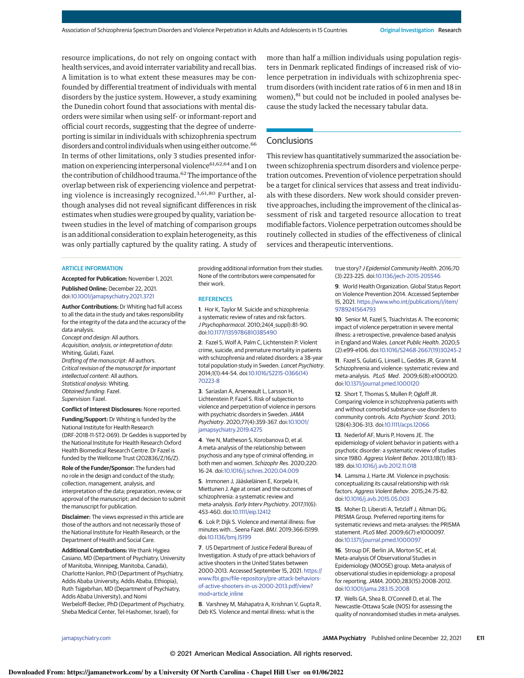resource implications, do not rely on ongoing contact with health services, and avoid interrater variability and recall bias. A limitation is to what extent these measures may be confounded by differential treatment of individuals with mental disorders by the justice system. However, a study examining the Dunedin cohort found that associations with mental disorders were similar when using self- or informant-report and official court records, suggesting that the degree of underreporting is similar in individuals with schizophrenia spectrum disorders and control individuals when using either outcome.<sup>66</sup> In terms of other limitations, only 3 studies presented information on experiencing interpersonal violence<sup>61,62,64</sup> and 1 on the contribution of childhood trauma.<sup>62</sup> The importance of the overlap between risk of experiencing violence and perpetrating violence is increasingly recognized.3,61,80 Further, although analyses did not reveal significant differences in risk estimates when studies were grouped by quality, variation between studies in the level of matching of comparison groups is an additional consideration to explain heterogeneity, as this was only partially captured by the quality rating. A study of more than half a million individuals using population registers in Denmark replicated findings of increased risk of violence perpetration in individuals with schizophrenia spectrum disorders (with incident rate ratios of 6 in men and 18 in women),<sup>81</sup> but could not be included in pooled analyses because the study lacked the necessary tabular data.

## **Conclusions**

This review has quantitatively summarized the association between schizophrenia spectrum disorders and violence perpetration outcomes. Prevention of violence perpetration should be a target for clinical services that assess and treat individuals with these disorders. New work should consider preventive approaches, including the improvement of the clinical assessment of risk and targeted resource allocation to treat modifiable factors. Violence perpetration outcomes should be routinely collected in studies of the effectiveness of clinical services and therapeutic interventions.

#### ARTICLE INFORMATION

**Accepted for Publication:** November 1, 2021. **Published Online:** December 22, 2021.

doi:10.1001/jamapsychiatry.2021.3721

**Author Contributions:** Dr Whiting had full access to all the data in the study and takes responsibility for the integrity of the data and the accuracy of the data analysis.

Concept and design: All authors. Acquisition, analysis, or interpretation of data: Whiting, Gulati, Fazel. Drafting of the manuscript: All authors. Critical revision of the manuscript for important intellectual content: All authors. Statistical analysis: Whiting. Obtained funding: Fazel. Supervision: Fazel.

**Conflict of Interest Disclosures:** None reported.

**Funding/Support:** Dr Whiting is funded by the National Institute for Health Research (DRF-2018-11-ST2-069). Dr Geddes is supported by the National Institute for Health Research Oxford Health Biomedical Research Centre. Dr Fazel is funded by the Wellcome Trust (202836/Z/16/Z).

**Role of the Funder/Sponsor:** The funders had no role in the design and conduct of the study; collection, management, analysis, and interpretation of the data; preparation, review, or approval of the manuscript; and decision to submit the manuscript for publication.

**Disclaimer:** The views expressed in this article are those of the authors and not necessarily those of the National Institute for Health Research, or the Department of Health and Social Care.

**Additional Contributions:** We thank Hygiea Casiano, MD (Department of Psychiatry, University of Manitoba, Winnipeg, Manitoba, Canada), Charlotte Hanlon, PhD (Department of Psychiatry, Addis Ababa University, Addis Ababa, Ethiopia), Ruth Tsigebrhan, MD (Department of Psychiatry, Addis Ababa University), and Nomi Werbeloff-Becker, PhD (Department of Psychiatry, Sheba Medical Center, Tel-Hashomer, Israel), for

providing additional information from their studies. None of the contributors were compensated for their work.

#### **REFERENCES**

**1**. Hor K, Taylor M. Suicide and schizophrenia: a systematic review of rates and risk factors. J Psychopharmacol. 2010;24(4\_suppl):81-90. doi:10.1177/1359786810385490

**2**. Fazel S, Wolf A, Palm C, Lichtenstein P. Violent crime, suicide, and premature mortality in patients with schizophrenia and related disorders: a 38-year total population study in Sweden. Lancet Psychiatry. 2014;1(1):44-54. doi:10.1016/S2215-0366(14) 70223-8

**3**. Sariaslan A, Arseneault L, Larsson H, Lichtenstein P, Fazel S. Risk of subjection to violence and perpetration of violence in persons with psychiatric disorders in Sweden. JAMA Psychiatry. 2020;77(4):359-367. doi:10.1001/ jamapsychiatry.2019.4275

**4**. Yee N, Matheson S, Korobanova D, et al. A meta-analysis of the relationship between psychosis and any type of criminal offending, in both men and women. Schizophr Res. 2020;220: 16-24. doi:10.1016/j.schres.2020.04.009

**5**. Immonen J, Jääskeläinen E, Korpela H, Miettunen J. Age at onset and the outcomes of schizophrenia: a systematic review and meta-analysis. Early Interv Psychiatry. 2017;11(6): 453-460. doi:10.1111/eip.12412

**6**. Lok P, Dijk S. Violence and mental illness: five minutes with…Seena Fazel. BMJ. 2019;366:l5199. doi:10.1136/bmj.l5199

**7**. US Department of Justice Federal Bureau of Investigation. A study of pre-attack behaviors of active shooters in the United States between 2000-2013. Accessed September 15, 2021. https:// www.fbi.gov/file-repository/pre-attack-behaviorsof-active-shooters-in-us-2000-2013.pdf/view? mod=article\_inline

**8**. Varshney M, Mahapatra A, Krishnan V, Gupta R, Deb KS. Violence and mental illness: what is the

true story? J Epidemiol Community Health. 2016;70 (3):223-225. doi:10.1136/jech-2015-205546

**9**. World Health Organization. Global Status Report on Violence Prevention 2014. Accessed September 15, 2021. https://www.who.int/publications/i/item/ 9789241564793

**10**. Senior M, Fazel S, Tsiachristas A. The economic impact of violence perpetration in severe mental illness: a retrospective, prevalence-based analysis in England and Wales. Lancet Public Health. 2020;5 (2):e99-e106. doi:10.1016/S2468-2667(19)30245-2

**11**. Fazel S, Gulati G, Linsell L, Geddes JR, Grann M. Schizophrenia and violence: systematic review and meta-analysis. PLoS Med. 2009;6(8):e1000120. doi:10.1371/journal.pmed.1000120

**12**. Short T, Thomas S, Mullen P, Ogloff JR. Comparing violence in schizophrenia patients with and without comorbid substance-use disorders to community controls. Acta Psychiatr Scand. 2013; 128(4):306-313. doi:10.1111/acps.12066

**13**. Nederlof AF, Muris P, Hovens JE. The epidemiology of violent behavior in patients with a psychotic disorder: a systematic review of studies since 1980. Aggress Violent Behav. 2013;18(1):183- 189. doi:10.1016/j.avb.2012.11.018

**14**. Lamsma J, Harte JM. Violence in psychosis: conceptualizing its causal relationship with risk factors. Aggress Violent Behav. 2015;24:75-82. doi:10.1016/j.avb.2015.05.003

**15**. Moher D, Liberati A, Tetzlaff J, Altman DG; PRISMA Group. Preferred reporting items for systematic reviews and meta-analyses: the PRISMA statement. PLoS Med. 2009;6(7):e1000097. doi:10.1371/journal.pmed.1000097

**16**. Stroup DF, Berlin JA, Morton SC, et al; Meta-analysis Of Observational Studies in Epidemiology (MOOSE) group. Meta-analysis of observational studies in epidemiology: a proposal for reporting.JAMA. 2000;283(15):2008-2012. doi:10.1001/jama.283.15.2008

**17**. Wells GA, Shea B, O'Connell D, et al. The Newcastle-Ottawa Scale (NOS) for assessing the quality of nonrandomised studies in meta-analyses.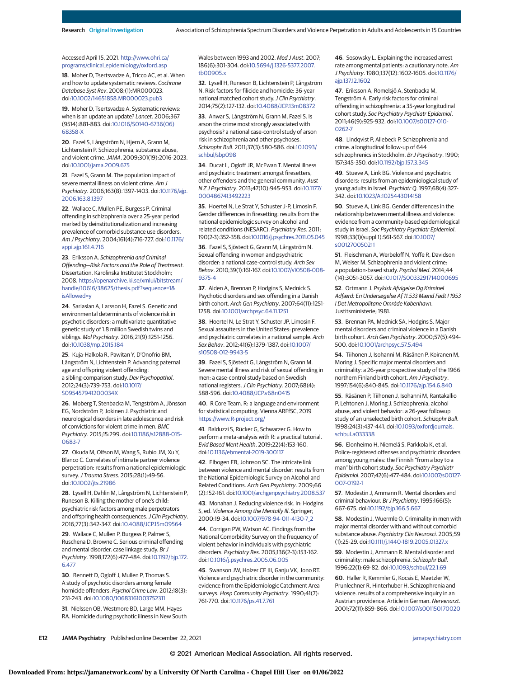#### Accessed April 15, 2021. http://www.ohri.ca/ programs/clinical\_epidemiology/oxford.asp

**18**. Moher D, Tsertsvadze A, Tricco AC, et al. When and how to update systematic reviews. Cochrane Database Syst Rev. 2008;(1):MR000023. doi:10.1002/14651858.MR000023.pub3

**19**. Moher D, Tsertsvadze A. Systematic reviews: when is an update an update? Lancet. 2006;367 (9514):881-883. doi:10.1016/S0140-6736(06) 68358-X

**20**. Fazel S, Långström N, Hjern A, Grann M, Lichtenstein P. Schizophrenia, substance abuse, and violent crime.JAMA. 2009;301(19):2016-2023. doi:10.1001/jama.2009.675

**21**. Fazel S, Grann M. The population impact of severe mental illness on violent crime. Am J Psychiatry. 2006;163(8):1397-1403. doi:10.1176/ajp. 2006.163.8.1397

**22**. Wallace C, Mullen PE, Burgess P. Criminal offending in schizophrenia over a 25-year period marked by deinstitutionalization and increasing prevalence of comorbid substance use disorders. Am J Psychiatry. 2004;161(4):716-727. doi:10.1176/ appi.ajp.161.4.716

**23**. Eriksson A. Schizophrenia and Criminal Offending—Risk Factors and the Role of Treatment. Dissertation. Karolinska Institutet Stockholm; 2008. https://openarchive.ki.se/xmlui/bitstream/ handle/10616/38625/thesis.pdf?sequence=1& isAllowed=y

**24**. Sariaslan A, Larsson H, Fazel S. Genetic and environmental determinants of violence risk in psychotic disorders: a multivariate quantitative genetic study of 1.8 million Swedish twins and siblings. Mol Psychiatry. 2016;21(9):1251-1256. doi:10.1038/mp.2015.184

**25**. Kuja-Halkola R, Pawitan Y, D'Onofrio BM, Långström N, Lichtenstein P. Advancing paternal age and offspring violent offending: a sibling-comparison study. Dev Psychopathol. 2012;24(3):739-753. doi:10.1017/ S095457941200034X

**26**. Moberg T, Stenbacka M, Tengström A, Jönsson EG, Nordström P, Jokinen J. Psychiatric and neurological disorders in late adolescence and risk of convictions for violent crime in men. BMC Psychiatry. 2015;15:299. doi:10.1186/s12888-015- 0683-7

**27**. Okuda M, Olfson M, Wang S, Rubio JM, Xu Y, Blanco C. Correlates of intimate partner violence perpetration: results from a national epidemiologic survey.J Trauma Stress. 2015;28(1):49-56. doi:10.1002/jts.21986

**28**. Lysell H, Dahlin M, Långström N, Lichtenstein P, Runeson B. Killing the mother of one's child: psychiatric risk factors among male perpetrators and offspring health consequences. J Clin Psychiatry. 2016;77(3):342-347. doi:10.4088/JCP.15m09564

**29**. Wallace C, Mullen P, Burgess P, Palmer S, Ruschena D, Browne C. Serious criminal offending and mental disorder. case linkage study. Br J Psychiatry. 1998;172(6):477-484. doi:10.1192/bjp.172. 6.477

**30**. Bennett D, Ogloff J, Mullen P, Thomas S. A study of psychotic disorders among female homicide offenders. Psychol Crime Law. 2012;18(3): 231-243. doi:10.1080/10683161003752311

**31**. Nielssen OB, Westmore BD, Large MM, Hayes RA. Homicide during psychotic illness in New South Wales between 1993 and 2002. Med J Aust. 2007; 186(6):301-304. doi:10.5694/j.1326-5377.2007. tb00905.x

**32**. Lysell H, Runeson B, Lichtenstein P, Långström N. Risk factors for filicide and homicide: 36-year national matched cohort study.J Clin Psychiatry. 2014;75(2):127-132. doi:10.4088/JCP.13m08372

**33**. Anwar S, Långström N, Grann M, Fazel S. Is arson the crime most strongly associated with psychosis? a national case-control study of arson risk in schizophrenia and other psychoses. Schizophr Bull. 2011;37(3):580-586. doi:10.1093/ schbul/sbp098

**34**. Ducat L, Ogloff JR, McEwan T. Mental illness and psychiatric treatment amongst firesetters, other offenders and the general community. Aust N Z J Psychiatry. 2013;47(10):945-953. doi:10.1177/ 0004867413492223

**35**. Hoertel N, Le Strat Y, Schuster J-P, Limosin F. Gender differences in firesetting: results from the national epidemiologic survey on alcohol and related conditions (NESARC). Psychiatry Res. 2011; 190(2-3):352-358. doi:10.1016/j.psychres.2011.05.045

**36**. Fazel S, Sjöstedt G, Grann M, Långström N. Sexual offending in women and psychiatric disorder: a national case-control study. Arch Sex Behav. 2010;39(1):161-167. doi:10.1007/s10508-008- 9375-4

**37**. Alden A, Brennan P, Hodgins S, Mednick S. Psychotic disorders and sex offending in a Danish birth cohort. Arch Gen Psychiatry. 2007;64(11):1251- 1258. doi:10.1001/archpsyc.64.11.1251

**38**. Hoertel N, Le Strat Y, Schuster JP, Limosin F. Sexual assaulters in the United States: prevalence and psychiatric correlates in a national sample. Arch Sex Behav. 2012;41(6):1379-1387. doi:10.1007/ s10508-012-9943-5

**39**. Fazel S, Sjöstedt G, Långström N, Grann M. Severe mental illness and risk of sexual offending in men: a case-control study based on Swedish national registers. J Clin Psychiatry. 2007;68(4): 588-596. doi:10.4088/JCP.v68n0415

**40**. R Core Team. R: a language and environment for statistical computing. Vienna ARFfSC, 2019 https://www.R-project.org/

**41**. Balduzzi S, Rücker G, Schwarzer G. How to perform a meta-analysis with R: a practical tutorial. Evid Based Ment Health. 2019;22(4):153-160. doi:10.1136/ebmental-2019-300117

**42**. Elbogen EB, Johnson SC. The intricate link between violence and mental disorder: results from the National Epidemiologic Survey on Alcohol and Related Conditions. Arch Gen Psychiatry. 2009;66 (2):152-161. doi:10.1001/archgenpsychiatry.2008.537

**43**. Monahan J. Reducing violence risk. In: Hodgins S, ed. Violence Among the Mentally Ill. Springer; 2000:19-34. doi:10.1007/978-94-011-4130-7\_2

**44**. Corrigan PW, Watson AC. Findings from the National Comorbidity Survey on the frequency of violent behavior in individuals with psychiatric disorders. Psychiatry Res. 2005;136(2-3):153-162. doi:10.1016/j.psychres.2005.06.005

**45**. Swanson JW, Holzer CE III, Ganju VK, Jono RT. Violence and psychiatric disorder in the community: evidence from the Epidemiologic Catchment Area surveys. Hosp Community Psychiatry. 1990;41(7): 761-770. doi:10.1176/ps.41.7.761

**46**. Sosowsky L. Explaining the increased arrest rate among mental patients: a cautionary note. Am J Psychiatry. 1980;137(12):1602-1605. doi:10.1176/ ajp.137.12.1602

**47**. Eriksson A, Romelsjö A, Stenbacka M, Tengström A. Early risk factors for criminal offending in schizophrenia: a 35-year longitudinal cohort study. Soc Psychiatry Psychiatr Epidemiol. 2011;46(9):925-932. doi:10.1007/s00127-010- 0262-7

**48**. Lindqvist P, Allebeck P. Schizophrenia and crime. a longitudinal follow-up of 644 schizophrenics in Stockholm. Br J Psychiatry. 1990; 157:345-350. doi:10.1192/bjp.157.3.345

**49**. Stueve A, Link BG. Violence and psychiatric disorders: results from an epidemiological study of young adults in Israel. Psychiatr Q. 1997;68(4):327- 342. doi:10.1023/A:1025443014158

**50**. Stueve A, Link BG. Gender differences in the relationship between mental illness and violence: evidence from a community-based epidemiological study in Israel. Soc Psychiatry Psychiatr Epidemiol. 1998;33(1)(suppl 1):S61-S67. doi:10.1007/ s001270050211

**51**. Fleischman A, Werbeloff N, Yoffe R, Davidson M, Weiser M. Schizophrenia and violent crime: a population-based study. Psychol Med. 2014;44 (14):3051-3057. doi:10.1017/S0033291714000695

**52**. Ortmann J. Psykisk Afvigelse Og Kriminel Adfærd: En Undersøgelse Af 11.533 Mænd Født I 1953 I Det Metropolitane Område København. Justitsministerie; 1981.

**53**. Brennan PA, Mednick SA, Hodgins S. Major mental disorders and criminal violence in a Danish birth cohort. Arch Gen Psychiatry. 2000;57(5):494- 500. doi:10.1001/archpsyc.57.5.494

**54**. Tiihonen J, Isohanni M, Räsänen P, Koiranen M, Moring J. Specific major mental disorders and criminality: a 26-year prospective study of the 1966 northern Finland birth cohort. Am J Psychiatry. 1997;154(6):840-845. doi:10.1176/ajp.154.6.840

**55**. Räsänen P, Tiihonen J, Isohanni M, Rantakallio P, Lehtonen J, Moring J. Schizophrenia, alcohol abuse, and violent behavior: a 26-year followup study of an unselected birth cohort. Schizophr Bull. 1998;24(3):437-441. doi:10.1093/oxfordjournals. schbul.a033338

**56**. Elonheimo H, Niemelä S, Parkkola K, et al. Police-registered offenses and psychiatric disorders among young males: the Finnish "from a boy to a man" birth cohort study. Soc Psychiatry Psychiatr Epidemiol. 2007;42(6):477-484. doi:10.1007/s00127- 007-0192-1

**57**. Modestin J, Ammann R. Mental disorders and criminal behaviour. Br J Psychiatry. 1995;166(5): 667-675. doi:10.1192/bjp.166.5.667

**58**. Modestin J, Wuermle O. Criminality in men with major mental disorder with and without comorbid substance abuse. Psychiatry Clin Neurosci. 2005;59 (1):25-29. doi:10.1111/j.1440-1819.2005.01327.x

**59**. Modestin J, Ammann R. Mental disorder and criminality: male schizophrenia. Schizophr Bull. 1996;22(1):69-82. doi:10.1093/schbul/22.1.69

**60**. Haller R, Kemmler G, Kocsis E, Maetzler W, Prunlechner R, Hinterhuber H. Schizophrenia and violence. results of a comprehensive inquiry in an Austrian providence. Article in German. Nervenarzt. 2001;72(11):859-866. doi:10.1007/s001150170020